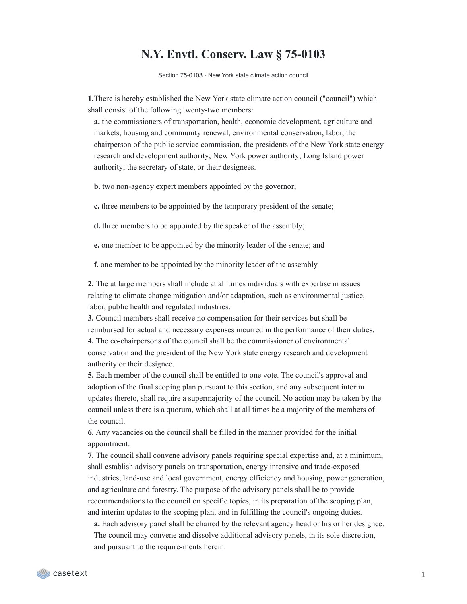## **N.Y. Envtl. Conserv. Law § 75-0103**

Section 75-0103 - New York state climate action council

**1.**There is hereby established the New York state climate action council ("council") which shall consist of the following twenty-two members:

**a.** the commissioners of transportation, health, economic development, agriculture and markets, housing and community renewal, environmental conservation, labor, the chairperson of the public service commission, the presidents of the New York state energy research and development authority; New York power authority; Long Island power authority; the secretary of state, or their designees.

**b.** two non-agency expert members appointed by the governor;

**c.** three members to be appointed by the temporary president of the senate;

**d.** three members to be appointed by the speaker of the assembly;

**e.** one member to be appointed by the minority leader of the senate; and

**f.** one member to be appointed by the minority leader of the assembly.

**2.** The at large members shall include at all times individuals with expertise in issues relating to climate change mitigation and/or adaptation, such as environmental justice, labor, public health and regulated industries.

**3.** Council members shall receive no compensation for their services but shall be reimbursed for actual and necessary expenses incurred in the performance of their duties. **4.** The co-chairpersons of the council shall be the commissioner of environmental conservation and the president of the New York state energy research and development authority or their designee.

**5.** Each member of the council shall be entitled to one vote. The council's approval and adoption of the final scoping plan pursuant to this section, and any subsequent interim updates thereto, shall require a supermajority of the council. No action may be taken by the council unless there is a quorum, which shall at all times be a majority of the members of the council.

**6.** Any vacancies on the council shall be filled in the manner provided for the initial appointment.

**7.** The council shall convene advisory panels requiring special expertise and, at a minimum, shall establish advisory panels on transportation, energy intensive and trade-exposed industries, land-use and local government, energy efficiency and housing, power generation, and agriculture and forestry. The purpose of the advisory panels shall be to provide recommendations to the council on specific topics, in its preparation of the scoping plan, and interim updates to the scoping plan, and in fulfilling the council's ongoing duties.

**a.** Each advisory panel shall be chaired by the relevant agency head or his or her designee. The council may convene and dissolve additional advisory panels, in its sole discretion, and pursuant to the require-ments herein.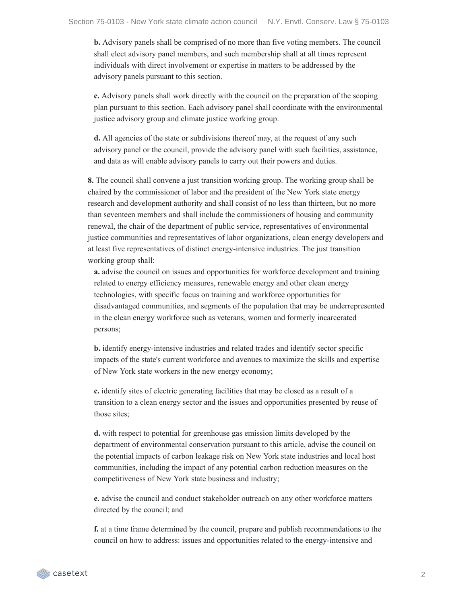**b.** Advisory panels shall be comprised of no more than five voting members. The council shall elect advisory panel members, and such membership shall at all times represent individuals with direct involvement or expertise in matters to be addressed by the advisory panels pursuant to this section.

**c.** Advisory panels shall work directly with the council on the preparation of the scoping plan pursuant to this section. Each advisory panel shall coordinate with the environmental justice advisory group and climate justice working group.

**d.** All agencies of the state or subdivisions thereof may, at the request of any such advisory panel or the council, provide the advisory panel with such facilities, assistance, and data as will enable advisory panels to carry out their powers and duties.

**8.** The council shall convene a just transition working group. The working group shall be chaired by the commissioner of labor and the president of the New York state energy research and development authority and shall consist of no less than thirteen, but no more than seventeen members and shall include the commissioners of housing and community renewal, the chair of the department of public service, representatives of environmental justice communities and representatives of labor organizations, clean energy developers and at least five representatives of distinct energy-intensive industries. The just transition working group shall:

**a.** advise the council on issues and opportunities for workforce development and training related to energy efficiency measures, renewable energy and other clean energy technologies, with specific focus on training and workforce opportunities for disadvantaged communities, and segments of the population that may be underrepresented in the clean energy workforce such as veterans, women and formerly incarcerated persons;

**b.** identify energy-intensive industries and related trades and identify sector specific impacts of the state's current workforce and avenues to maximize the skills and expertise of New York state workers in the new energy economy;

**c.** identify sites of electric generating facilities that may be closed as a result of a transition to a clean energy sector and the issues and opportunities presented by reuse of those sites;

**d.** with respect to potential for greenhouse gas emission limits developed by the department of environmental conservation pursuant to this article, advise the council on the potential impacts of carbon leakage risk on New York state industries and local host communities, including the impact of any potential carbon reduction measures on the competitiveness of New York state business and industry;

**e.** advise the council and conduct stakeholder outreach on any other workforce matters directed by the council; and

**f.** at a time frame determined by the council, prepare and publish recommendations to the council on how to address: issues and opportunities related to the energy-intensive and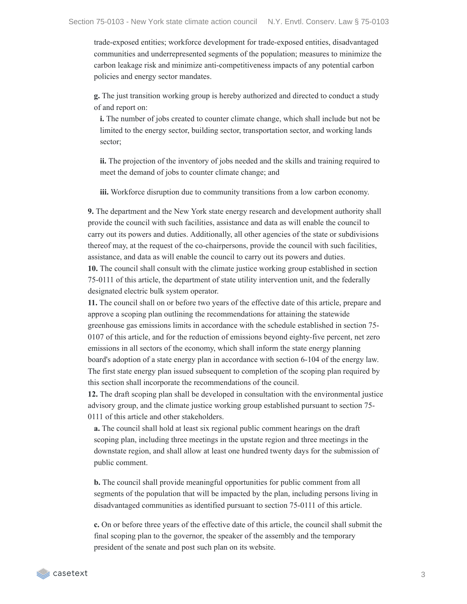trade-exposed entities; workforce development for trade-exposed entities, disadvantaged communities and underrepresented segments of the population; measures to minimize the carbon leakage risk and minimize anti-competitiveness impacts of any potential carbon policies and energy sector mandates.

**g.** The just transition working group is hereby authorized and directed to conduct a study of and report on:

**i.** The number of jobs created to counter climate change, which shall include but not be limited to the energy sector, building sector, transportation sector, and working lands sector;

**ii.** The projection of the inventory of jobs needed and the skills and training required to meet the demand of jobs to counter climate change; and

**iii.** Workforce disruption due to community transitions from a low carbon economy.

**9.** The department and the New York state energy research and development authority shall provide the council with such facilities, assistance and data as will enable the council to carry out its powers and duties. Additionally, all other agencies of the state or subdivisions thereof may, at the request of the co-chairpersons, provide the council with such facilities, assistance, and data as will enable the council to carry out its powers and duties.

**10.** The council shall consult with the climate justice working group established in section 75-0111 of this article, the department of state utility intervention unit, and the federally designated electric bulk system operator.

**11.** The council shall on or before two years of the effective date of this article, prepare and approve a scoping plan outlining the recommendations for attaining the statewide greenhouse gas emissions limits in accordance with the schedule established in section 75- 0107 of this article, and for the reduction of emissions beyond eighty-five percent, net zero emissions in all sectors of the economy, which shall inform the state energy planning board's adoption of a state energy plan in accordance with section 6-104 of the energy law. The first state energy plan issued subsequent to completion of the scoping plan required by this section shall incorporate the recommendations of the council.

**12.** The draft scoping plan shall be developed in consultation with the environmental justice advisory group, and the climate justice working group established pursuant to section 75- 0111 of this article and other stakeholders.

**a.** The council shall hold at least six regional public comment hearings on the draft scoping plan, including three meetings in the upstate region and three meetings in the downstate region, and shall allow at least one hundred twenty days for the submission of public comment.

**b.** The council shall provide meaningful opportunities for public comment from all segments of the population that will be impacted by the plan, including persons living in disadvantaged communities as identified pursuant to section 75-0111 of this article.

**c.** On or before three years of the effective date of this article, the council shall submit the final scoping plan to the governor, the speaker of the assembly and the temporary president of the senate and post such plan on its website.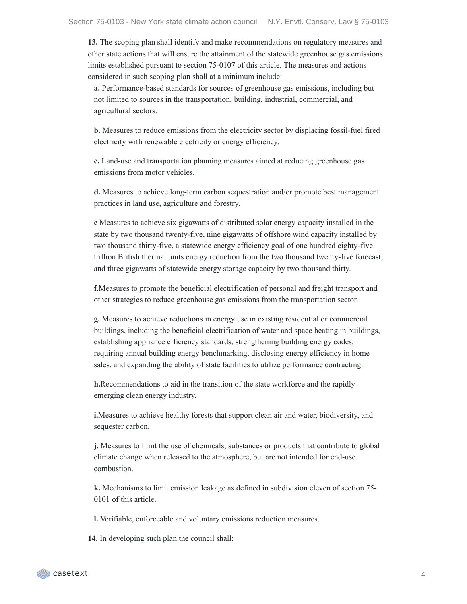**13.** The scoping plan shall identify and make recommendations on regulatory measures and other state actions that will ensure the attainment of the statewide greenhouse gas emissions limits established pursuant to section 75-0107 of this article. The measures and actions considered in such scoping plan shall at a minimum include:

**a.** Performance-based standards for sources of greenhouse gas emissions, including but not limited to sources in the transportation, building, industrial, commercial, and agricultural sectors.

**b.** Measures to reduce emissions from the electricity sector by displacing fossil-fuel fired electricity with renewable electricity or energy efficiency.

**c.** Land-use and transportation planning measures aimed at reducing greenhouse gas emissions from motor vehicles.

**d.** Measures to achieve long-term carbon sequestration and/or promote best management practices in land use, agriculture and forestry.

**e** Measures to achieve six gigawatts of distributed solar energy capacity installed in the state by two thousand twenty-five, nine gigawatts of offshore wind capacity installed by two thousand thirty-five, a statewide energy efficiency goal of one hundred eighty-five trillion British thermal units energy reduction from the two thousand twenty-five forecast; and three gigawatts of statewide energy storage capacity by two thousand thirty.

**f.**Measures to promote the beneficial electrification of personal and freight transport and other strategies to reduce greenhouse gas emissions from the transportation sector.

**g.** Measures to achieve reductions in energy use in existing residential or commercial buildings, including the beneficial electrification of water and space heating in buildings, establishing appliance efficiency standards, strengthening building energy codes, requiring annual building energy benchmarking, disclosing energy efficiency in home sales, and expanding the ability of state facilities to utilize performance contracting.

**h.**Recommendations to aid in the transition of the state workforce and the rapidly emerging clean energy industry.

**i.**Measures to achieve healthy forests that support clean air and water, biodiversity, and sequester carbon.

**j.** Measures to limit the use of chemicals, substances or products that contribute to global climate change when released to the atmosphere, but are not intended for end-use combustion.

**k.** Mechanisms to limit emission leakage as defined in subdivision eleven of section 75- 0101 of this article.

**l.** Verifiable, enforceable and voluntary emissions reduction measures.

**14.** In developing such plan the council shall: